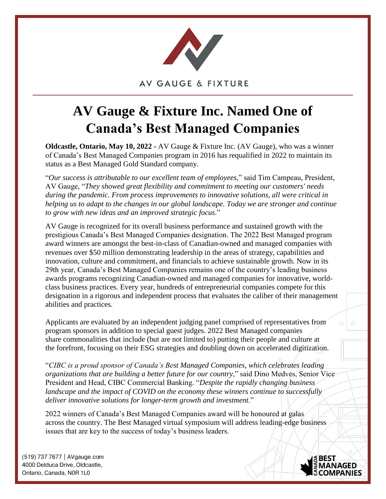

**AV GAUGE & FIXTURE** 

## **AV Gauge & Fixture Inc. Named One of Canada's Best Managed Companies**

**Oldcastle, Ontario, May 10, 2022 -** AV Gauge & Fixture Inc. (AV Gauge), who was a winner of Canada's Best Managed Companies program in 2016 has requalified in 2022 to maintain its status as a Best Managed Gold Standard company.

"*Our success is attributable to our excellent team of employees,*" said Tim Campeau, President, AV Gauge, "*They showed great flexibility and commitment to meeting our customers' needs during the pandemic. From process improvements to innovative solutions, all were critical in helping us to adapt to the changes in our global landscape. Today we are stronger and continue to grow with new ideas and an improved strategic focus*."

AV Gauge is recognized for its overall business performance and sustained growth with the prestigious Canada's Best Managed Companies designation. The 2022 Best Managed program award winners are amongst the best-in-class of Canadian-owned and managed companies with revenues over \$50 million demonstrating leadership in the areas of strategy, capabilities and innovation, culture and commitment, and financials to achieve sustainable growth. Now in its 29th year, Canada's Best Managed Companies remains one of the country's leading business awards programs recognizing Canadian-owned and managed companies for innovative, worldclass business practices. Every year, hundreds of entrepreneurial companies compete for this designation in a rigorous and independent process that evaluates the caliber of their management abilities and practices.

Applicants are evaluated by an independent judging panel comprised of representatives from program sponsors in addition to special guest judges. 2022 Best Managed companies share commonalities that include (but are not limited to) putting their people and culture at the forefront, focusing on their ESG strategies and doubling down on accelerated digitization.

"*CIBC is a proud sponsor of Canada's Best Managed Companies, which celebrates leading organizations that are building a better future for our country*," said Dino Medves, Senior Vice President and Head, CIBC Commercial Banking. "*Despite the rapidly changing business landscape and the impact of COVID on the economy these winners continue to successfully deliver innovative solutions for longer-term growth and investment*."

2022 winners of Canada's Best Managed Companies award will be honoured at galas across the country. The Best Managed virtual symposium will address leading-edge business issues that are key to the success of today's business leaders.

(519) 737 7677 | AVgauge.com 4000 Delduca Drive, Oldcastle, Ontario. Canada. N0R 1L0